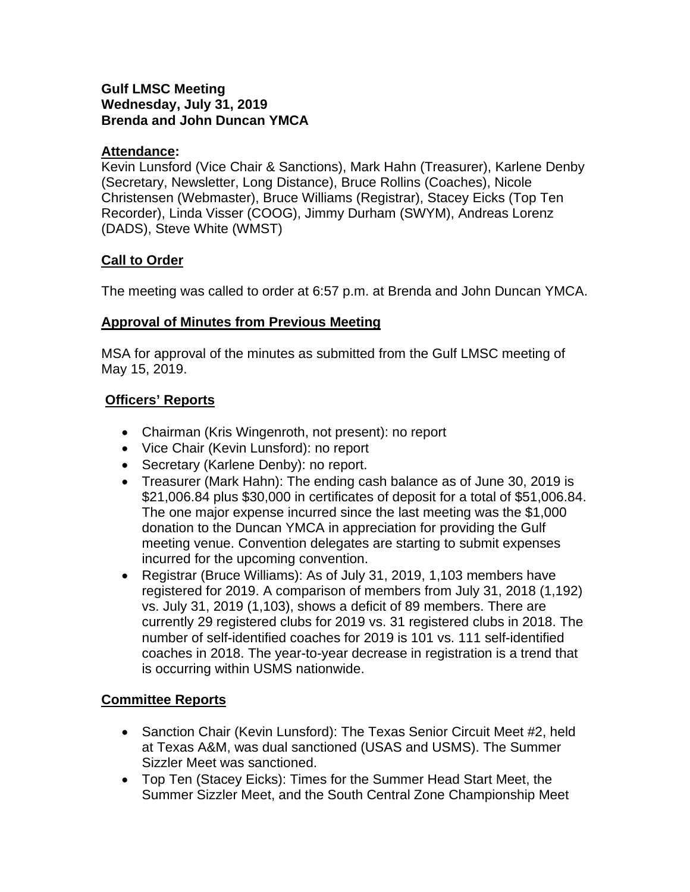#### **Gulf LMSC Meeting Wednesday, July 31, 2019 Brenda and John Duncan YMCA**

#### **Attendance:**

Kevin Lunsford (Vice Chair & Sanctions), Mark Hahn (Treasurer), Karlene Denby (Secretary, Newsletter, Long Distance), Bruce Rollins (Coaches), Nicole Christensen (Webmaster), Bruce Williams (Registrar), Stacey Eicks (Top Ten Recorder), Linda Visser (COOG), Jimmy Durham (SWYM), Andreas Lorenz (DADS), Steve White (WMST)

# **Call to Order**

The meeting was called to order at 6:57 p.m. at Brenda and John Duncan YMCA.

#### **Approval of Minutes from Previous Meeting**

MSA for approval of the minutes as submitted from the Gulf LMSC meeting of May 15, 2019.

# **Officers' Reports**

- Chairman (Kris Wingenroth, not present): no report
- Vice Chair (Kevin Lunsford): no report
- Secretary (Karlene Denby): no report.
- Treasurer (Mark Hahn): The ending cash balance as of June 30, 2019 is \$21,006.84 plus \$30,000 in certificates of deposit for a total of \$51,006.84. The one major expense incurred since the last meeting was the \$1,000 donation to the Duncan YMCA in appreciation for providing the Gulf meeting venue. Convention delegates are starting to submit expenses incurred for the upcoming convention.
- Registrar (Bruce Williams): As of July 31, 2019, 1,103 members have registered for 2019. A comparison of members from July 31, 2018 (1,192) vs. July 31, 2019 (1,103), shows a deficit of 89 members. There are currently 29 registered clubs for 2019 vs. 31 registered clubs in 2018. The number of self-identified coaches for 2019 is 101 vs. 111 self-identified coaches in 2018. The year-to-year decrease in registration is a trend that is occurring within USMS nationwide.

# **Committee Reports**

- Sanction Chair (Kevin Lunsford): The Texas Senior Circuit Meet #2, held at Texas A&M, was dual sanctioned (USAS and USMS). The Summer Sizzler Meet was sanctioned.
- Top Ten (Stacey Eicks): Times for the Summer Head Start Meet, the Summer Sizzler Meet, and the South Central Zone Championship Meet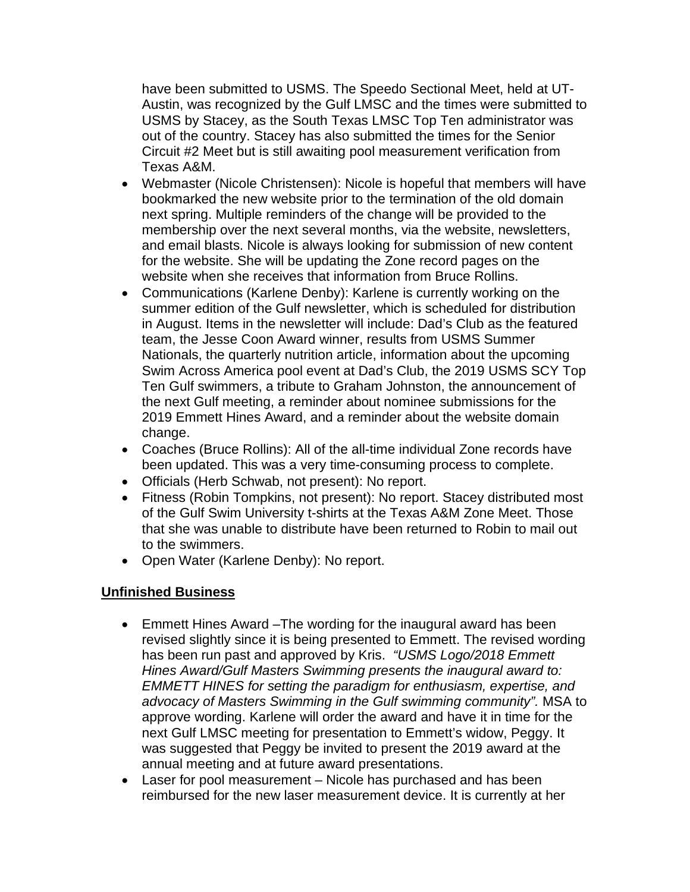have been submitted to USMS. The Speedo Sectional Meet, held at UT-Austin, was recognized by the Gulf LMSC and the times were submitted to USMS by Stacey, as the South Texas LMSC Top Ten administrator was out of the country. Stacey has also submitted the times for the Senior Circuit #2 Meet but is still awaiting pool measurement verification from Texas A&M.

- Webmaster (Nicole Christensen): Nicole is hopeful that members will have bookmarked the new website prior to the termination of the old domain next spring. Multiple reminders of the change will be provided to the membership over the next several months, via the website, newsletters, and email blasts. Nicole is always looking for submission of new content for the website. She will be updating the Zone record pages on the website when she receives that information from Bruce Rollins.
- Communications (Karlene Denby): Karlene is currently working on the summer edition of the Gulf newsletter, which is scheduled for distribution in August. Items in the newsletter will include: Dad's Club as the featured team, the Jesse Coon Award winner, results from USMS Summer Nationals, the quarterly nutrition article, information about the upcoming Swim Across America pool event at Dad's Club, the 2019 USMS SCY Top Ten Gulf swimmers, a tribute to Graham Johnston, the announcement of the next Gulf meeting, a reminder about nominee submissions for the 2019 Emmett Hines Award, and a reminder about the website domain change.
- Coaches (Bruce Rollins): All of the all-time individual Zone records have been updated. This was a very time-consuming process to complete.
- Officials (Herb Schwab, not present): No report.
- Fitness (Robin Tompkins, not present): No report. Stacey distributed most of the Gulf Swim University t-shirts at the Texas A&M Zone Meet. Those that she was unable to distribute have been returned to Robin to mail out to the swimmers.
- Open Water (Karlene Denby): No report.

# **Unfinished Business**

- Emmett Hines Award –The wording for the inaugural award has been revised slightly since it is being presented to Emmett. The revised wording has been run past and approved by Kris. *"USMS Logo/2018 Emmett Hines Award/Gulf Masters Swimming presents the inaugural award to: EMMETT HINES for setting the paradigm for enthusiasm, expertise, and advocacy of Masters Swimming in the Gulf swimming community".* MSA to approve wording. Karlene will order the award and have it in time for the next Gulf LMSC meeting for presentation to Emmett's widow, Peggy. It was suggested that Peggy be invited to present the 2019 award at the annual meeting and at future award presentations.
- Laser for pool measurement Nicole has purchased and has been reimbursed for the new laser measurement device. It is currently at her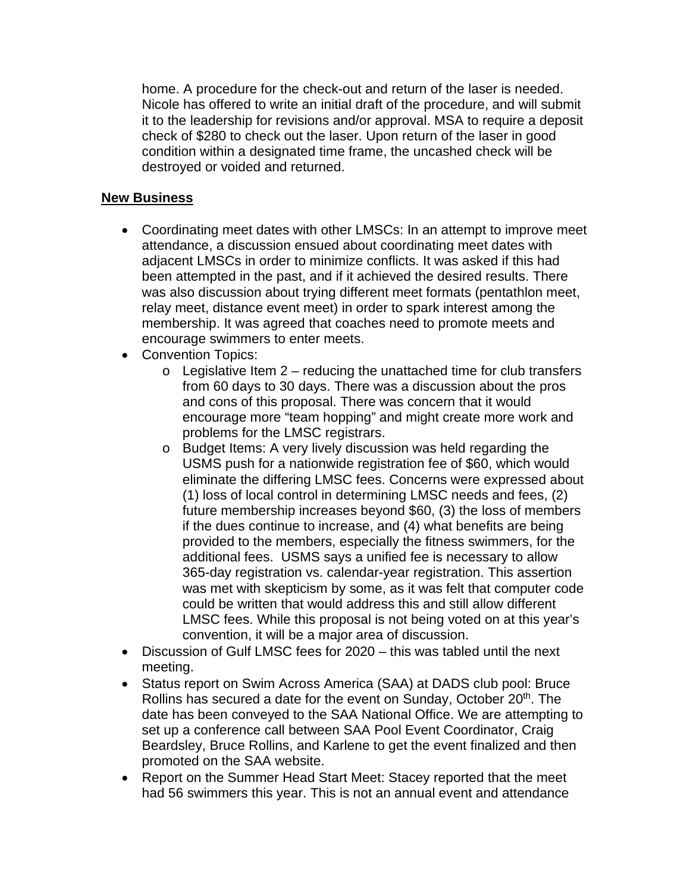home. A procedure for the check-out and return of the laser is needed. Nicole has offered to write an initial draft of the procedure, and will submit it to the leadership for revisions and/or approval. MSA to require a deposit check of \$280 to check out the laser. Upon return of the laser in good condition within a designated time frame, the uncashed check will be destroyed or voided and returned.

#### **New Business**

- Coordinating meet dates with other LMSCs: In an attempt to improve meet attendance, a discussion ensued about coordinating meet dates with adjacent LMSCs in order to minimize conflicts. It was asked if this had been attempted in the past, and if it achieved the desired results. There was also discussion about trying different meet formats (pentathlon meet, relay meet, distance event meet) in order to spark interest among the membership. It was agreed that coaches need to promote meets and encourage swimmers to enter meets.
- Convention Topics:
	- $\circ$  Legislative Item 2 reducing the unattached time for club transfers from 60 days to 30 days. There was a discussion about the pros and cons of this proposal. There was concern that it would encourage more "team hopping" and might create more work and problems for the LMSC registrars.
	- o Budget Items: A very lively discussion was held regarding the USMS push for a nationwide registration fee of \$60, which would eliminate the differing LMSC fees. Concerns were expressed about (1) loss of local control in determining LMSC needs and fees, (2) future membership increases beyond \$60, (3) the loss of members if the dues continue to increase, and (4) what benefits are being provided to the members, especially the fitness swimmers, for the additional fees. USMS says a unified fee is necessary to allow 365-day registration vs. calendar-year registration. This assertion was met with skepticism by some, as it was felt that computer code could be written that would address this and still allow different LMSC fees. While this proposal is not being voted on at this year's convention, it will be a major area of discussion.
- Discussion of Gulf LMSC fees for 2020 this was tabled until the next meeting.
- Status report on Swim Across America (SAA) at DADS club pool: Bruce Rollins has secured a date for the event on Sunday, October 20<sup>th</sup>. The date has been conveyed to the SAA National Office. We are attempting to set up a conference call between SAA Pool Event Coordinator, Craig Beardsley, Bruce Rollins, and Karlene to get the event finalized and then promoted on the SAA website.
- Report on the Summer Head Start Meet: Stacey reported that the meet had 56 swimmers this year. This is not an annual event and attendance